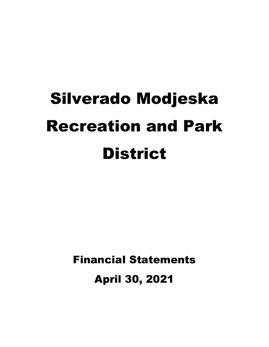# Silverado Modjeska Recreation and Park **District**

Financial Statements

April 30, 2021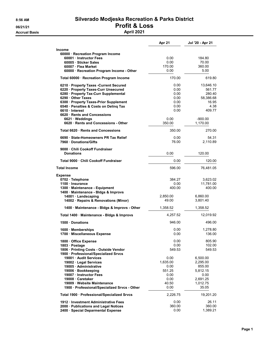# 8:56 AM Silverado Modjeska Recreation & Parks District 06/21/21<br>Accrual Basis<br>April 2021

**Accrual Basis** 

|                                                                                | Apr 21         | Jul '20 - Apr 21    |
|--------------------------------------------------------------------------------|----------------|---------------------|
| <b>Income</b>                                                                  |                |                     |
| 60000 · Recreation Program Income                                              |                |                     |
| 60001 Instructor Fees                                                          | 0.00           | 184.80              |
| 60005 · Sticker Sales                                                          | 0.00           | 70.00               |
| 60007 · Flea Market                                                            | 170.00         | 360.00              |
| 60000 · Recreation Program Income - Other                                      | 0.00           | 5.00                |
| Total 60000 · Recreation Program Income                                        | 170.00         | 619.80              |
| 6210 · Property Taxes - Current Secured                                        | 0.00           | 13,646.10           |
| 6220 · Property Taxes-Curr Unsecured                                           | 0.00           | 561.77              |
| 6280 · Property Tax-Curr Supplemental                                          | 0.00           | 280.40              |
| 6290 Other Taxes                                                               | 0.00           | 58,386.68           |
| 6300 Property Taxes-Prior Supplement<br>6540 · Penalties & Costs on Deling Tax | 0.00<br>0.00   | 16.95<br>4.38       |
| 6610 Interest                                                                  | 0.00           | 409.77              |
| 6620 Rents and Concessions                                                     |                |                     |
| 6621 · Weddings                                                                | 0.00           | $-900.00$           |
| 6620 · Rents and Concessions - Other                                           | 350.00         | 1,170.00            |
| Total 6620 · Rents and Concessions                                             | 350.00         | 270.00              |
| 6690 · State-Homeowners PR Tax Relief                                          | 0.00           | 54.31               |
| 7960 Donations/Gifts                                                           | 76.00          | 2,110.89            |
| 9000 · Chili Cookoff Fundraiser                                                |                |                     |
| <b>Donations</b>                                                               | 0.00           | 120.00              |
| Total 9000 · Chili Cookoff Fundraiser                                          | 0.00           | 120.00              |
|                                                                                |                |                     |
| <b>Total Income</b>                                                            | 596.00         | 76,481.05           |
| <b>Expense</b>                                                                 |                |                     |
| 0702 · Telephone                                                               | 384.27         | 3,623.02            |
| 1100 Insurance                                                                 | 0.00<br>400.00 | 11,781.00<br>400.00 |
| 1300 Maintenance - Equipment<br>1400 Maintenance - Bldgs & Improvs             |                |                     |
| 14001 · Landscaping                                                            | 2,850.00       | 6,860.00            |
| 14002 · Repairs & Renovations (Minor)                                          | 49.00          | 3,801.40            |
| 1400 · Maintenance - Bldgs & Improvs - Other                                   | 1,358.52       | 1,358.52            |
| Total 1400 · Maintenance - Bldgs & Improvs                                     | 4.257.52       | 12,019.92           |
| 1500 Donations                                                                 | 946.00         | 496.00              |
| 1600 Memberships                                                               | 0.00           | 1,278.80            |
| 1700 · Miscellaneous Expense                                                   | 0.00           | 136.00              |
| 1800 Office Expense                                                            | 0.00           | 805.90              |
| 1803 · Postage                                                                 | 0.00           | 102.00              |
| 1806 · Printing Costs - Outside Vendor                                         | 549.53         | 549.53              |
| 1900 · Professional/Specialized Srvcs                                          |                |                     |
| 19001 Audit Services                                                           | 0.00           | 6,500.00            |
| 19002 · Legal Services                                                         | 1,635.00       | 2,295.00            |
| 19005 · Administrative                                                         | 0.00<br>551.25 | 855.00<br>5,812.15  |
| 19006 · Bookkeeping<br>19007 · Instructor Fees                                 | 0.00           | 0.00                |
| 19008 Caretaker                                                                | 0.00           | 2,691.25            |
| 19009 · Website Maintenance                                                    | 40.50          | 1,012.75            |
| 1900 · Professional/Specialized Srvcs - Other                                  | 0.00           | 35.05               |
| Total 1900 · Professional/Specialized Srvcs                                    | 2,226.75       | 19,201.20           |
| 1912 · Investment Administrative Fees                                          | 0.00           | 26.11               |
| 2000 · Publications and Legal Notices                                          | 360.00         | 360.00              |
| 2400 · Special Deparmental Expense                                             | 0.00           | 1,389.21            |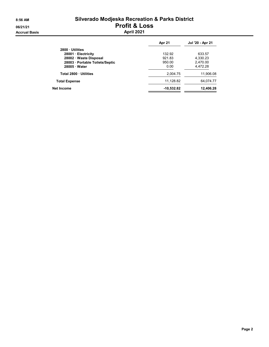# 8:56 AM Silverado Modjeska Recreation & Parks District 06/21/21<br>Accrual Basis<br>April 2021

|                               | Apr 21       | Jul '20 - Apr 21 |
|-------------------------------|--------------|------------------|
| 2800 Utilities                |              |                  |
| 28001 Electricity             | 132.92       | 633.57           |
| 28002 · Waste Disposal        | 921.83       | 4,330.23         |
| 28003 Portable Toilets/Septic | 950.00       | 2,470.00         |
| 28005 Water                   | 0.00         | 4.472.28         |
| Total 2800 Utilities          | 2.004.75     | 11.906.08        |
| <b>Total Expense</b>          | 11,128.82    | 64,074.77        |
| Net Income                    | $-10,532.82$ | 12,406.28        |
|                               |              |                  |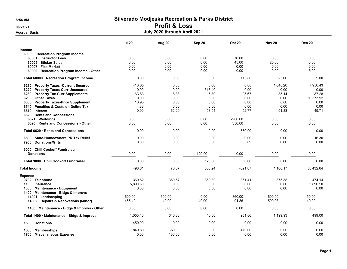# 06/21/21 **Profit & Loss**

Accrual Basis July 2020 through April 2021

|                                                                  | <b>Jul 20</b> | Aug 20       | Sep 20       | <b>Oct 20</b> | <b>Nov 20</b> | <b>Dec 20</b>      |
|------------------------------------------------------------------|---------------|--------------|--------------|---------------|---------------|--------------------|
| <b>Income</b><br>60000 · Recreation Program Income               |               |              |              |               |               |                    |
| 60001 Instructor Fees                                            | 0.00          | 0.00         | 0.00         | 70.80         | 0.00          | 0.00               |
| 60005 · Sticker Sales                                            | 0.00          | 0.00         | 0.00         | 45.00         | 25.00         | 0.00               |
| 60007 · Flea Market<br>60000 · Recreation Program Income - Other | 0.00<br>0.00  | 0.00<br>0.00 | 0.00<br>0.00 | 0.00<br>0.00  | 0.00<br>0.00  | 0.00<br>5.00       |
|                                                                  |               |              |              |               |               |                    |
| Total 60000 · Recreation Program Income                          | 0.00          | 0.00         | 0.00         | 115.80        | 25.00         | 5.00               |
| 6210 · Property Taxes - Current Secured                          | 413.65        | 0.00         | 0.00         | 0.00          | 4,048.20      | 7,950.43           |
| 6220 · Property Taxes-Curr Unsecured                             | 0.00          | 0.00         | 318.40       | 0.00          | 0.00          | 0.00               |
| 6280 · Property Tax-Curr Supplemental                            | 63.83<br>0.00 | 8.38<br>0.00 | 6.30<br>0.00 | 25.67<br>0.00 | 35.14<br>0.00 | 37.28<br>50,373.92 |
| 6290 Other Taxes<br>6300 · Property Taxes-Prior Supplement       | 16.95         | 0.00         | 0.00         | 0.00          | 0.00          | 0.00               |
| 6540 · Penalties & Costs on Deling Tax                           | 4.38          | 0.00         | 0.00         | 0.00          | 0.00          | 0.00               |
| 6610 Interest                                                    | 0.00          | 62.29        | 58.54        | 52.77         | 51.83         | 49.71              |
| 6620 · Rents and Concessions                                     |               |              |              |               |               |                    |
| 6621 Weddings                                                    | 0.00          | 0.00         | 0.00         | $-900.00$     | 0.00          | 0.00               |
| 6620 · Rents and Concessions - Other                             | 0.00          | 0.00         | 0.00         | 350.00        | 0.00          | 0.00               |
| Total 6620 · Rents and Concessions                               | 0.00          | 0.00         | 0.00         | $-550.00$     | 0.00          | 0.00               |
| 6690 · State-Homeowners PR Tax Relief                            | 0.00          | 0.00         | 0.00         | 0.00          | 0.00          | 16.30              |
| 7960 Donations/Gifts                                             | 0.00          | 0.00         | 0.00         | 33.89         | 0.00          | 0.00               |
| 9000 Chili Cookoff Fundraiser                                    |               |              |              |               |               |                    |
| <b>Donations</b>                                                 | 0.00          | 0.00         | 120.00       | 0.00          | 0.00          | 0.00               |
| Total 9000 Chili Cookoff Fundraiser                              | 0.00          | 0.00         | 120.00       | 0.00          | 0.00          | 0.00               |
| <b>Total Income</b>                                              | 498.81        | 70.67        | 503.24       | $-321.87$     | 4,160.17      | 58,432.64          |
| <b>Expense</b>                                                   |               |              |              |               |               |                    |
| 0702 · Telephone                                                 | 360.62        | 360.57       | 360.80       | 361.41        | 375.38        | 474.14             |
| 1100 · Insurance                                                 | 5,890.50      | 0.00         | 0.00         | 0.00          | 0.00          | 5,890.50           |
| 1300 Maintenance - Equipment                                     | 0.00          | 0.00         | 0.00         | 0.00          | 0.00          | 0.00               |
| 1400 · Maintenance - Bldgs & Improvs                             | 600.00        | 600.00       | 0.00         | 860.00        | 600.00        | 450.00             |
| 14001 · Landscaping<br>14002 · Repairs & Renovations (Minor)     | 455.40        | 40.00        | 40.00        | 91.86         | 599.93        | 49.00              |
|                                                                  |               |              |              |               |               |                    |
| 1400 · Maintenance - Bldgs & Improvs - Other                     | 0.00          | 0.00         | 0.00         | 0.00          | 0.00          | 0.00               |
| Total 1400 · Maintenance - Bldgs & Improvs                       | 1,055.40      | 640.00       | 40.00        | 951.86        | 1,199.93      | 499.00             |
| 1500 Donations                                                   | $-450.00$     | 0.00         | 0.00         | 0.00          | 0.00          | 0.00               |
| 1600 Memberships                                                 | 849.80        | $-50.00$     | 0.00         | 479.00        | 0.00          | 0.00               |
| 1700 Miscellaneous Expense                                       | 0.00          | 136.00       | 0.00         | 0.00          | 0.00          | 0.00               |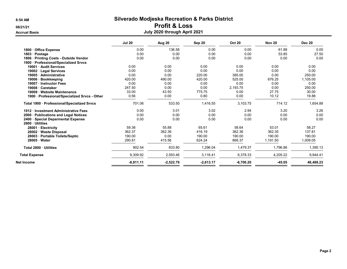# 06/21/21 **Profit & Loss**

## Accrual Basis July 2020 through April 2021

|                                                        | <b>Jul 20</b> | Aug 20      | Sep 20      | <b>Oct 20</b> | <b>Nov 20</b> | <b>Dec 20</b> |
|--------------------------------------------------------|---------------|-------------|-------------|---------------|---------------|---------------|
| 1800 · Office Expense                                  | 0.00          | 136.58      | 0.00        | 0.00          | 61.88         | 0.00          |
| 1803 · Postage                                         | 0.00          | 0.00        | 0.00        | 0.00          | 53.85         | 27.50         |
| 1806 · Printing Costs - Outside Vendor                 | 0.00          | 0.00        | 0.00        | 0.00          | 0.00          | 0.00          |
| 1900 · Professional/Specialized Srvcs                  |               |             |             |               |               |               |
| 19001 · Audit Services                                 | 0.00          | 0.00        | 0.00        | 0.00          | 0.00          | 0.00          |
| 19002 · Legal Services                                 | 0.00          | 0.00        | 0.00        | 0.00          | 0.00          | 0.00          |
| 19005 Administrative                                   | 0.00          | 0.00        | 220.00      | 385.00        | 0.00          | 250.00        |
| 19006 · Bookkeeping                                    | 420.00        | 490.00      | 420.00      | 525.00        | 676.25        | 1,105.00      |
| 19007 · Instructor Fees                                | 0.00          | 0.00        | 0.00        | 0.00          | 0.00          | 0.00          |
| 19008 · Caretaker                                      | 247.50        | 0.00        | 0.00        | 2,193.75      | 0.00          | 250.00        |
| 19009 · Website Maintenance                            | 33.00         | 43.50       | 775.75      | 0.00          | 27.75         | 30.00         |
| 1900 · Professional/Specialized Srvcs - Other          | 0.56          | 0.00        | 0.80        | 0.00          | 10.12         | 19.88         |
| Total 1900 · Professional/Specialized Srvcs            | 701.06        | 533.50      | 1,416.55    | 3,103.75      | 714.12        | 1,654.88      |
| 1912 · Investment Administrative Fees                  | 0.00          | 3.01        | 3.02        | 2.94          | 3.20          | 3.26          |
| 2000 · Publications and Legal Notices                  | 0.00          | 0.00        | 0.00        | 0.00          | 0.00          | 0.00          |
| 2400 · Special Deparmental Expense<br>2800 · Utilities | 0.00          | 0.00        | 0.00        | 0.00          | 0.00          | 0.00          |
| 28001 · Electricity                                    | 59.36         | 55.88       | 65.61       | 58.64         | 53.01         | 58.27         |
| 28002 Waste Disposal                                   | 362.37        | 362.36      | 416.19      | 362.36        | 362.35        | 137.81        |
| 28003 · Portable Toilets/Septic                        | 190.00        | 0.00        | 190.00      | 190.00        | 190.00        | 190.00        |
| $28005 \cdot Water$                                    | 290.81        | 415.56      | 624.24      | 868.37        | 1,191.50      | 1,009.05      |
| Total 2800 Utilities                                   | 902.54        | 833.80      | 1,296.04    | 1,479.37      | 1,796.86      | 1,395.13      |
| <b>Total Expense</b>                                   | 9,309.92      | 2,593.46    | 3,116.41    | 6,378.33      | 4,205.22      | 9,944.41      |
| Net Income                                             | $-8,811.11$   | $-2,522.79$ | $-2,613.17$ | $-6,700.20$   | $-45.05$      | 48,488.23     |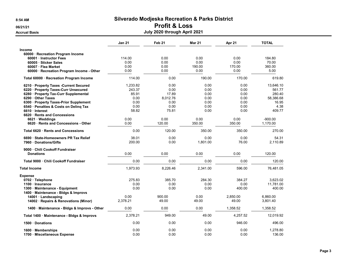## 06/21/21 Profit & Loss

| <b>Accrual Basis</b>                         | July 2020 through April 2021 |                   |               |          |              |  |  |
|----------------------------------------------|------------------------------|-------------------|---------------|----------|--------------|--|--|
|                                              | <b>Jan 21</b>                | Feb <sub>21</sub> | <b>Mar 21</b> | Apr 21   | <b>TOTAL</b> |  |  |
| Income                                       |                              |                   |               |          |              |  |  |
| 60000 · Recreation Program Income            |                              |                   |               |          |              |  |  |
| 60001 Instructor Fees                        | 114.00                       | 0.00              | 0.00          | 0.00     | 184.80       |  |  |
| 60005 · Sticker Sales                        | 0.00                         | 0.00              | 0.00          | 0.00     | 70.00        |  |  |
| 60007 · Flea Market                          | 0.00                         | 0.00              | 190.00        | 170.00   | 360.00       |  |  |
| 60000 · Recreation Program Income - Other    | 0.00                         | 0.00              | 0.00          | 0.00     | 5.00         |  |  |
| Total 60000 · Recreation Program Income      | 114.00                       | 0.00              | 190.00        | 170.00   | 619.80       |  |  |
| 6210 Property Taxes - Current Secured        | 1,233.82                     | 0.00              | 0.00          | 0.00     | 13,646.10    |  |  |
| 6220 · Property Taxes-Curr Unsecured         | 243.37                       | 0.00              | 0.00          | 0.00     | 561.77       |  |  |
| 6280 · Property Tax-Curr Supplemental        | 85.91                        | 17.89             | 0.00          | 0.00     | 280.40       |  |  |
| 6290 Other Taxes                             | 0.00                         | 8,012.76          | 0.00          | 0.00     | 58,386.68    |  |  |
| 6300 · Property Taxes-Prior Supplement       | 0.00                         | 0.00              | 0.00          | 0.00     | 16.95        |  |  |
| 6540 · Penalties & Costs on Deling Tax       | 0.00                         | 0.00              | 0.00          | 0.00     | 4.38         |  |  |
| 6610 · Interest                              | 58.82                        | 75.81             | 0.00          | 0.00     | 409.77       |  |  |
| 6620 · Rents and Concessions                 |                              |                   |               |          |              |  |  |
| $6621 \cdot W$ eddings                       | 0.00                         | 0.00              | 0.00          | 0.00     | $-900.00$    |  |  |
| 6620 · Rents and Concessions - Other         | 0.00                         | 120.00            | 350.00        | 350.00   | 1,170.00     |  |  |
| Total 6620 Rents and Concessions             | 0.00                         | 120.00            | 350.00        | 350.00   | 270.00       |  |  |
| 6690 · State-Homeowners PR Tax Relief        | 38.01                        | 0.00              | 0.00          | 0.00     | 54.31        |  |  |
| 7960 Donations/Gifts                         | 200.00                       | 0.00              | 1,801.00      | 76.00    | 2.110.89     |  |  |
| 9000 Chili Cookoff Fundraiser                |                              |                   |               |          |              |  |  |
| <b>Donations</b>                             | 0.00                         | 0.00              | 0.00          | 0.00     | 120.00       |  |  |
| Total 9000 Chili Cookoff Fundraiser          | 0.00                         | 0.00              | 0.00          | 0.00     | 120.00       |  |  |
| <b>Total Income</b>                          | 1,973.93                     | 8,226.46          | 2,341.00      | 596.00   | 76,481.05    |  |  |
| <b>Expense</b>                               |                              |                   |               |          |              |  |  |
| 0702 · Telephone                             | 275.83                       | 385.70            | 284.30        | 384.27   | 3.623.02     |  |  |
| 1100 · Insurance                             | 0.00                         | 0.00              | 0.00          | 0.00     | 11,781.00    |  |  |
| 1300 · Maintenance - Equipment               | 0.00                         | 0.00              | 0.00          | 400.00   | 400.00       |  |  |
| 1400 Maintenance - Bldgs & Improvs           |                              |                   |               |          |              |  |  |
| 14001 · Landscaping                          | 0.00                         | 900.00            | 0.00          | 2.850.00 | 6,860.00     |  |  |
| 14002 · Repairs & Renovations (Minor)        | 2,378.21                     | 49.00             | 49.00         | 49.00    | 3,801.40     |  |  |
| 1400 · Maintenance - Bldgs & Improvs - Other | 0.00                         | 0.00              | 0.00          | 1,358.52 | 1,358.52     |  |  |
| Total 1400 · Maintenance - Bldgs & Improvs   | 2,378.21                     | 949.00            | 49.00         | 4,257.52 | 12,019.92    |  |  |
| 1500 Donations                               | 0.00                         | 0.00              | 0.00          | 946.00   | 496.00       |  |  |
| 1600 Memberships                             | 0.00                         | 0.00              | 0.00          | 0.00     | 1,278.80     |  |  |
| 1700 Miscellaneous Expense                   | 0.00                         | 0.00              | 0.00          | 0.00     | 136.00       |  |  |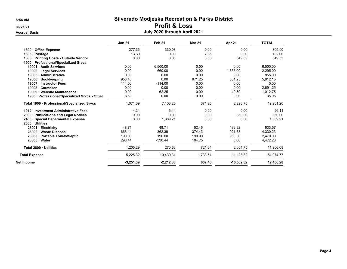# 06/21/21 **Profit & Loss**

## Accrual Basis July 2020 through April 2021

|                                                        | <b>Jan 21</b> | Feb 21      | <b>Mar 21</b> | Apr 21       | <b>TOTAL</b> |
|--------------------------------------------------------|---------------|-------------|---------------|--------------|--------------|
| 1800 Office Expense                                    | 277.36        | 330.08      | 0.00          | 0.00         | 805.90       |
| 1803 · Postage                                         | 13.30         | 0.00        | 7.35          | 0.00         | 102.00       |
| 1806 · Printing Costs - Outside Vendor                 | 0.00          | 0.00        | 0.00          | 549.53       | 549.53       |
| 1900 · Professional/Specialized Srvcs                  |               |             |               |              |              |
| 19001 · Audit Services                                 | 0.00          | 6,500.00    | 0.00          | 0.00         | 6,500.00     |
| 19002 · Legal Services                                 | 0.00          | 660.00      | 0.00          | 1,635.00     | 2,295.00     |
| 19005 Administrative                                   | 0.00          | 0.00        | 0.00          | 0.00         | 855.00       |
| <b>Bookkeeping</b><br>$19006 -$                        | 953.40        | 0.00        | 671.25        | 551.25       | 5,812.15     |
| 19007 · Instructor Fees                                | 114.00        | $-114.00$   | 0.00          | 0.00         | 0.00         |
| 19008 · Caretaker                                      | 0.00          | 0.00        | 0.00          | 0.00         | 2.691.25     |
| 19009 · Website Maintenance                            | 0.00          | 62.25       | 0.00          | 40.50        | 1.012.75     |
| 1900 · Professional/Specialized Srvcs - Other          | 3.69          | 0.00        | 0.00          | 0.00         | 35.05        |
| Total 1900 · Professional/Specialized Srvcs            | 1,071.09      | 7,108.25    | 671.25        | 2,226.75     | 19,201.20    |
| 1912 Investment Administrative Fees                    | 4.24          | 6.44        | 0.00          | 0.00         | 26.11        |
| 2000 · Publications and Legal Notices                  | 0.00          | 0.00        | 0.00          | 360.00       | 360.00       |
| 2400 · Special Deparmental Expense<br>2800 · Utilities | 0.00          | 1,389.21    | 0.00          | 0.00         | 1,389.21     |
| 28001 Electricity                                      | 48.71         | 48.71       | 52.46         | 132.92       | 633.57       |
| 28002 · Waste Disposal                                 | 668.14        | 362.39      | 374.43        | 921.83       | 4,330.23     |
| 28003 · Portable Toilets/Septic                        | 190.00        | 190.00      | 190.00        | 950.00       | 2,470.00     |
| 28005 · Water                                          | 298.44        | $-330.44$   | 104.75        | 0.00         | 4,472.28     |
| Total 2800 · Utilities                                 | 1,205.29      | 270.66      | 721.64        | 2,004.75     | 11,906.08    |
| <b>Total Expense</b>                                   | 5,225.32      | 10,439.34   | 1,733.54      | 11,128.82    | 64,074.77    |
| Net Income                                             | $-3,251.39$   | $-2,212.88$ | 607.46        | $-10,532.82$ | 12,406.28    |
|                                                        |               |             |               |              |              |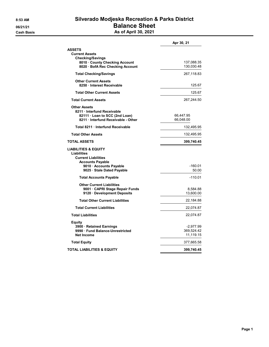## 8:53 AM Silverado Modjeska Recreation & Parks District 06/21/21 **Balance Sheet Cash Basis** Cash Basis **As of April 30, 2021**

|                                                                       | Apr 30, 21         |
|-----------------------------------------------------------------------|--------------------|
| <b>ASSETS</b>                                                         |                    |
| <b>Current Assets</b>                                                 |                    |
| <b>Checking/Savings</b><br>8010 County Checking Account               | 137,088.35         |
| 8020 · BofA Rec Checking Account                                      | 130,030.48         |
| <b>Total Checking/Savings</b>                                         | 267,118.83         |
| <b>Other Current Assets</b>                                           |                    |
| 8250 Interest Receivable                                              | 125.67             |
| <b>Total Other Current Assets</b>                                     | 125.67             |
| <b>Total Current Assets</b>                                           | 267,244.50         |
| <b>Other Assets</b>                                                   |                    |
| 8211 · Interfund Receivable                                           |                    |
| 82111 · Loan to SCC (2nd Loan)<br>8211 · Interfund Receivable - Other | 66,447.95          |
|                                                                       | 66,048.00          |
| Total 8211 · Interfund Receivable                                     | 132,495.95         |
| <b>Total Other Assets</b>                                             | 132,495.95         |
| <b>TOTAL ASSETS</b>                                                   | 399,740.45         |
| <b>LIABILITIES &amp; EQUITY</b>                                       |                    |
| Liabilities                                                           |                    |
| <b>Current Liabilities</b>                                            |                    |
| <b>Accounts Payable</b>                                               |                    |
| 9010 Accounts Payable                                                 | $-160.01$<br>50.00 |
| 9025 · Stale Dated Payable                                            |                    |
| <b>Total Accounts Payable</b>                                         | $-110.01$          |
| <b>Other Current Liabilities</b>                                      |                    |
| 9001 CAPRI Stage Repair Funds                                         | 8,584.88           |
| 9120 Development Deposits                                             | 13,600.00          |
| <b>Total Other Current Liabilities</b>                                | 22,184.88          |
| <b>Total Current Liabilities</b>                                      | 22,074.87          |
| <b>Total Liabilities</b>                                              | 22,074.87          |
| Equity                                                                |                    |
| 3900 · Retained Earnings                                              | -2,977.99          |
| 9990 Fund Balance-Unrestricted                                        | 369,524.42         |
| <b>Net Income</b>                                                     | 11,119.15          |
| <b>Total Equity</b>                                                   | 377,665.58         |
| <b>TOTAL LIABILITIES &amp; EQUITY</b>                                 | 399,740.45         |
|                                                                       |                    |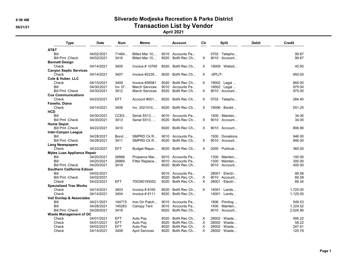## 8:58 AM Silverado Modjeska Recreation & Parks District 06/21/21 CONSERVENTING CONTROLLER TRANSACTION LIST by Vendor

### April 2021

| <b>Type</b>                        | <b>Date</b> | <b>Num</b> | Memo                  | <b>Account</b>           | Clr      | <b>Split</b>                       | <b>Debit</b> | Credit   |
|------------------------------------|-------------|------------|-----------------------|--------------------------|----------|------------------------------------|--------------|----------|
| AT&T                               |             |            |                       |                          |          |                                    |              |          |
| Bill                               | 04/02/2021  | 71464      | Billed Mar 10,        | 9010 · Accounts Pa       |          | $0702 \cdot$ Telepho               |              | 99.87    |
| <b>Bill Pmt -Check</b>             | 04/02/2021  | 3416       | Billed Mar 10,        | 8020 · BofA Rec Ch       | $\times$ | $9010 \cdot$ Account               |              | 99.87    |
| <b>Bennett Design</b>              |             |            |                       |                          |          |                                    |              |          |
| Check                              | 04/14/2021  | 3405       | Invoice $#$ 10765     | 8020 · BofA Rec Ch       | X        | $19009 \cdot$ Websit               |              | 40.50    |
| <b>Canyon Septic Services</b>      |             |            |                       |                          |          |                                    |              |          |
| Check                              | 04/14/2021  | 3407       | Invoice $\#2235$      | 8020 · BofA Rec Ch       | X        | -SPLIT-                            |              | 950.00   |
| Cole & Huber, LLC                  |             |            |                       |                          |          |                                    |              |          |
| Check                              | 04/15/2021  | 3409       | Invoice #36581        | $8020 \cdot$ BofA Rec Ch | X        | 19002 · Legal                      |              | 660.00   |
| Bill                               | 04/30/2021  | Inv 37     | <b>March Services</b> | 9010 · Accounts Pa       |          | 19002 $\cdot$ Legal                |              | 975.00   |
| <b>Bill Pmt -Check</b>             | 04/30/2021  | 3412       | <b>March Services</b> | 8020 · BofA Rec Ch       | X        | 9010 · Account                     |              | 975.00   |
| <b>Cox Communications</b>          |             |            |                       |                          |          |                                    |              |          |
| Check                              | 04/23/2021  | <b>EFT</b> | Account #001          | $8020 \cdot$ BofA Rec Ch | X        | $0702 \cdot$ Telepho               |              | 284.40   |
| Fanello, Diana                     |             |            |                       |                          |          |                                    |              |          |
| Check                              | 04/14/2021  | 3406       | Inv. 2021014          | 8020 · BofA Rec Ch       | X        | $19006 \cdot Book$                 |              | 551.25   |
| <b>HCD</b>                         |             |            |                       |                          |          |                                    |              |          |
| Bill                               | 04/30/2021  | CCE5       | Serial S513,          | 9010 · Accounts Pa       |          | $1400 \cdot$ Mainten               |              | 34.00    |
| <b>Bill Pmt -Check</b>             | 04/30/2021  | 3413       | Serial S513,          | $8020 \cdot$ BofA Rec Ch | $\times$ | $9010 \cdot$ Account               |              | 34.00    |
| <b>Home Depot</b>                  |             |            |                       |                          |          |                                    |              |          |
| <b>Bill Pmt - Check</b>            | 04/22/2021  | 3410       |                       | 8020 · BofA Rec Ch       | X        | $9010 \cdot$ Account               |              | 806.86   |
| <b>Inter-Canyon League</b>         |             |            |                       |                          |          |                                    |              |          |
| Bill                               | 04/28/2021  | Bond       | SMPRD Ck R            | $9010 \cdot$ Accounts Pa |          | $1500 \cdot$ Donations             |              | 946.00   |
| <b>Bill Pmt -Check</b>             | 04/28/2021  | 3411       | SMPRD Ck R            | 8020 · BofA Rec Ch       | $\times$ | $9010 \cdot$ Account               |              | 946.00   |
| <b>Lang Newspapers</b>             |             |            |                       |                          |          |                                    |              |          |
| Check                              | 04/22/2021  | <b>EFT</b> | Budget Repor          | 8020 · BofA Rec Ch       | X        | 2000 · Publicat                    |              | 360.00   |
| <b>Myles Luas Appliance Repair</b> |             |            |                       |                          |          |                                    |              |          |
| Bill                               | 04/20/2021  | 26868      | Propance Mai          | 9010 · Accounts Pa       |          | $1300 \cdot$ Mainten               |              | 100.00   |
| Bill                               | 04/20/2021  | 26869      | Filter Replace        | 9010 · Accounts Pa       |          | $1300 \cdot$ Mainten               |              | 300.00   |
| <b>Bill Pmt - Check</b>            | 04/20/2021  | 3419       |                       | 8020 · BofA Rec Ch       |          | $9010 \cdot$ Account               |              | 400.00   |
| Southern California Edison         |             |            |                       |                          |          |                                    |              |          |
| Bill                               | 04/02/2021  |            |                       | 9010 · Accounts Pa       |          | $28001 \cdot$ Electri              |              | 66.58    |
| <b>Bill Pmt -Check</b>             | 04/02/2021  |            |                       | $8020 \cdot$ BofA Rec Ch | $\times$ | $9010 \cdot$ Account               |              | 66.58    |
| Check                              | 04/22/2021  | <b>EFT</b> | 700390193052          | $8020 \cdot$ BofA Rec Ch | $\times$ | 28001 · Electri                    |              | 66.34    |
| <b>Specialized Tree Works</b>      |             |            |                       |                          |          |                                    |              |          |
| Check                              | 04/14/2021  | 3403       | Invoice $#8165$       | 8020 · BofA Rec Ch       | X        | $14001 \cdot$ Lands                |              | 1,725.00 |
| Check                              | 04/14/2021  | 3404       | Invoice $#8111$       | $8020 \cdot$ BofA Rec Ch |          | $14001 \cdot$ Lands                |              | 1.125.00 |
| Vail Dunlap & Associates           |             |            |                       |                          |          |                                    |              |          |
| Bill                               | 04/21/2021  | 144715     | Iron On Patch         | 9010 · Accounts Pa       |          | $1806 \cdot \text{Printing} \dots$ |              | 549.53   |
| Bill                               | 04/28/2021  | 145283     | Canopy Tent           | 9010 · Accounts Pa       |          | $1400 \cdot$ Mainten               |              | 1,324.52 |
| <b>Bill Pmt - Check</b>            | 04/28/2021  | 3418       |                       | 8020 · BofA Rec Ch       |          | $9010 \cdot$ Account               |              | 2,024.90 |
| Waste Management of OC             |             |            |                       |                          |          |                                    |              |          |
| Check                              | 04/01/2021  | <b>EFT</b> | Auto Pay              | $8020 \cdot$ BofA Rec Ch | X        | 28002 · Waste                      |              | 495.22   |
| Check                              | 04/01/2021  | <b>EFT</b> | Auto Pay              | 8020 · BofA Rec Ch       | X        | 28002 · Waste                      |              | 58.22    |
| Check                              | 04/02/2021  | <b>EFT</b> | Auto Pay              | 8020 · BofA Rec Ch       | $\times$ | 28002 · Waste                      |              | 247.61   |
| Check                              | 04/14/2021  | 3408       | <b>April Services</b> | 8020 · BofA Rec Ch       | X        | 28002 · Waste                      |              | 120.78   |